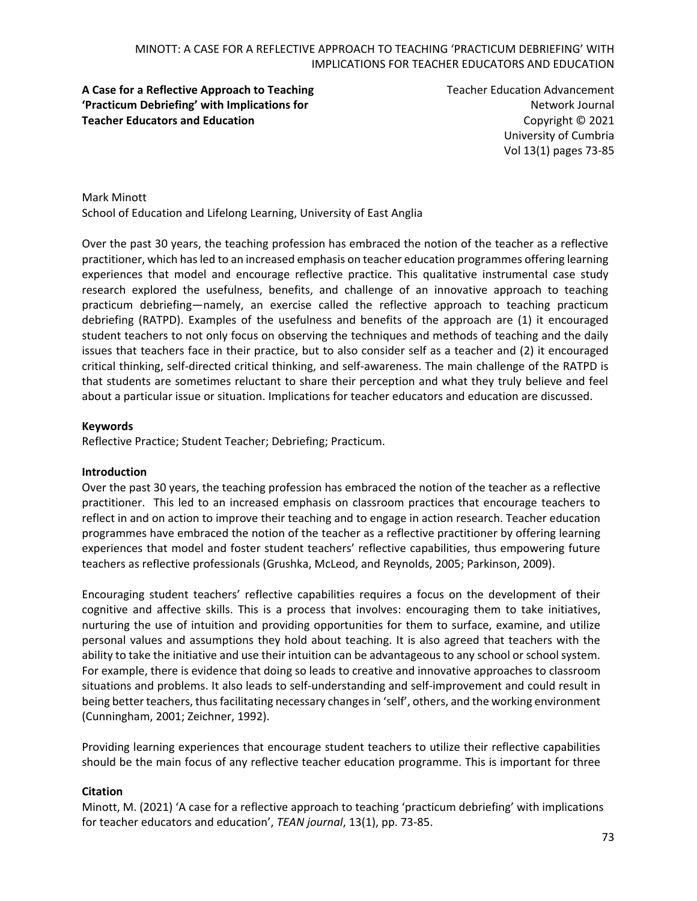## **A Case for a Reflective Approach to Teaching 'Practicum Debriefing' with Implications for Teacher Educators and Education**

Teacher Education Advancement Network Journal Copyright © 2021 University of Cumbria Vol 13(1) pages 73-85

Mark Minott School of Education and Lifelong Learning, University of East Anglia

Over the past 30 years, the teaching profession has embraced the notion of the teacher as a reflective practitioner, which has led to an increased emphasis on teacher education programmes offering learning experiences that model and encourage reflective practice. This qualitative instrumental case study research explored the usefulness, benefits, and challenge of an innovative approach to teaching practicum debriefing—namely, an exercise called the reflective approach to teaching practicum debriefing (RATPD). Examples of the usefulness and benefits of the approach are (1) it encouraged student teachers to not only focus on observing the techniques and methods of teaching and the daily issues that teachers face in their practice, but to also consider self as a teacher and (2) it encouraged critical thinking, self-directed critical thinking, and self-awareness. The main challenge of the RATPD is that students are sometimes reluctant to share their perception and what they truly believe and feel about a particular issue or situation. Implications for teacher educators and education are discussed.

### **Keywords**

Reflective Practice; Student Teacher; Debriefing; Practicum.

#### **Introduction**

Over the past 30 years, the teaching profession has embraced the notion of the teacher as a reflective practitioner. This led to an increased emphasis on classroom practices that encourage teachers to reflect in and on action to improve their teaching and to engage in action research. Teacher education programmes have embraced the notion of the teacher as a reflective practitioner by offering learning experiences that model and foster student teachers' reflective capabilities, thus empowering future teachers as reflective professionals (Grushka, McLeod, and Reynolds, 2005; Parkinson, 2009).

Encouraging student teachers' reflective capabilities requires a focus on the development of their cognitive and affective skills. This is a process that involves: encouraging them to take initiatives, nurturing the use of intuition and providing opportunities for them to surface, examine, and utilize personal values and assumptions they hold about teaching. It is also agreed that teachers with the ability to take the initiative and use their intuition can be advantageous to any school or school system. For example, there is evidence that doing so leads to creative and innovative approaches to classroom situations and problems. It also leads to self-understanding and self-improvement and could result in being better teachers, thus facilitating necessary changes in 'self', others, and the working environment (Cunningham, 2001; Zeichner, 1992).

Providing learning experiences that encourage student teachers to utilize their reflective capabilities should be the main focus of any reflective teacher education programme. This is important for three

#### **Citation**

Minott, M. (2021) 'A case for a reflective approach to teaching 'practicum debriefing' with implications for teacher educators and education', *TEAN journal*, 13(1), pp. 73-85.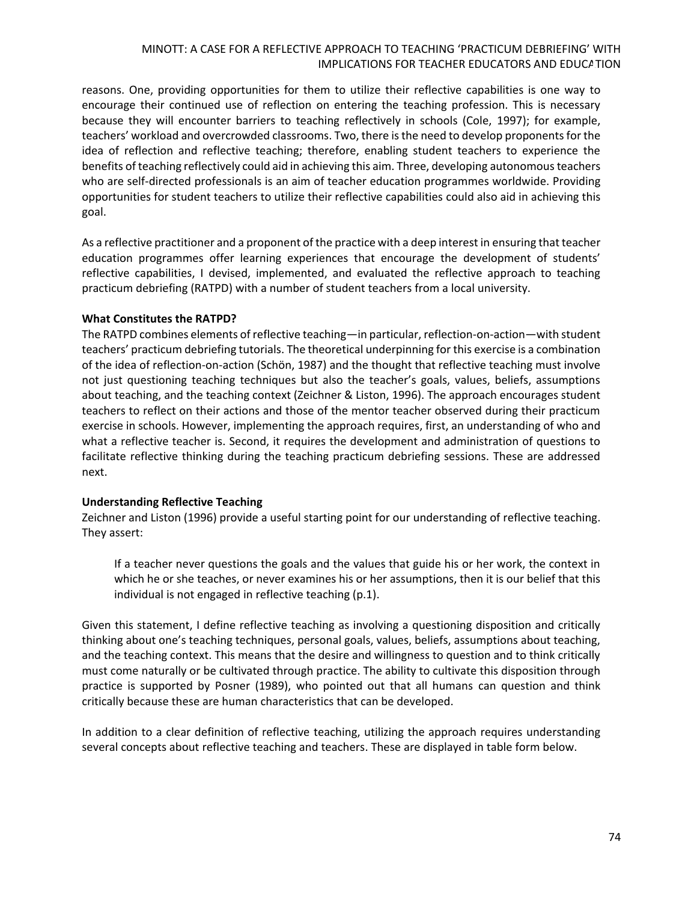reasons. One, providing opportunities for them to utilize their reflective capabilities is one way to encourage their continued use of reflection on entering the teaching profession. This is necessary because they will encounter barriers to teaching reflectively in schools (Cole, 1997); for example, teachers' workload and overcrowded classrooms. Two, there is the need to develop proponents for the idea of reflection and reflective teaching; therefore, enabling student teachers to experience the benefits of teaching reflectively could aid in achieving this aim. Three, developing autonomous teachers who are self-directed professionals is an aim of teacher education programmes worldwide. Providing opportunities for student teachers to utilize their reflective capabilities could also aid in achieving this goal.

As a reflective practitioner and a proponent of the practice with a deep interest in ensuring that teacher education programmes offer learning experiences that encourage the development of students' reflective capabilities, I devised, implemented, and evaluated the reflective approach to teaching practicum debriefing (RATPD) with a number of student teachers from a local university.

#### **What Constitutes the RATPD?**

The RATPD combines elements of reflective teaching—in particular, reflection-on-action—with student teachers' practicum debriefing tutorials. The theoretical underpinning for this exercise is a combination of the idea of reflection-on-action (Schön, 1987) and the thought that reflective teaching must involve not just questioning teaching techniques but also the teacher's goals, values, beliefs, assumptions about teaching, and the teaching context (Zeichner & Liston, 1996). The approach encourages student teachers to reflect on their actions and those of the mentor teacher observed during their practicum exercise in schools. However, implementing the approach requires, first, an understanding of who and what a reflective teacher is. Second, it requires the development and administration of questions to facilitate reflective thinking during the teaching practicum debriefing sessions. These are addressed next.

#### **Understanding Reflective Teaching**

Zeichner and Liston (1996) provide a useful starting point for our understanding of reflective teaching. They assert:

If a teacher never questions the goals and the values that guide his or her work, the context in which he or she teaches, or never examines his or her assumptions, then it is our belief that this individual is not engaged in reflective teaching (p.1).

Given this statement, I define reflective teaching as involving a questioning disposition and critically thinking about one's teaching techniques, personal goals, values, beliefs, assumptions about teaching, and the teaching context. This means that the desire and willingness to question and to think critically must come naturally or be cultivated through practice. The ability to cultivate this disposition through practice is supported by Posner (1989), who pointed out that all humans can question and think critically because these are human characteristics that can be developed.

In addition to a clear definition of reflective teaching, utilizing the approach requires understanding several concepts about reflective teaching and teachers. These are displayed in table form below.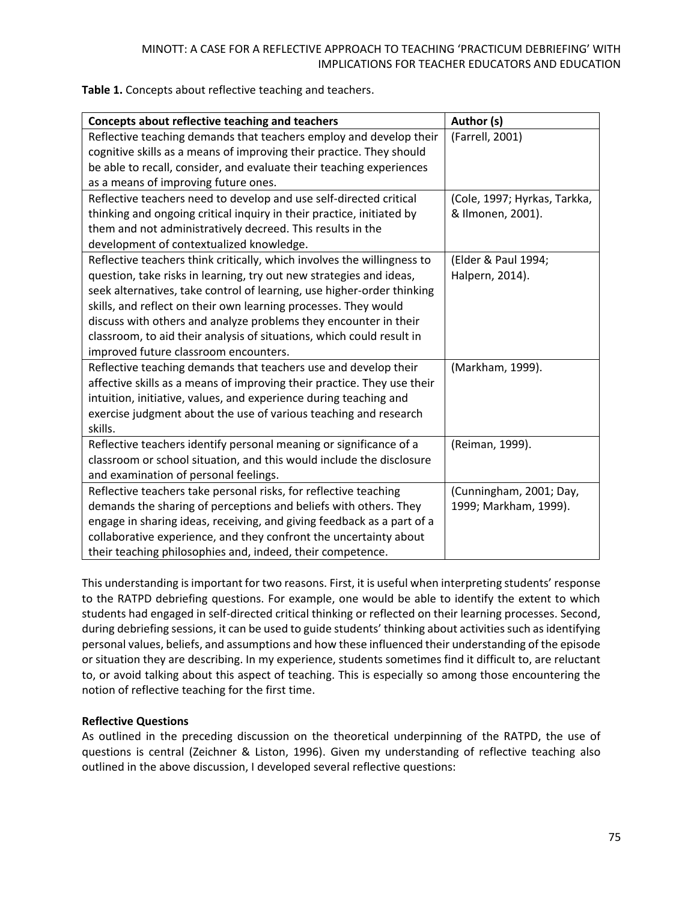| Table 1. Concepts about reflective teaching and teachers. |  |
|-----------------------------------------------------------|--|
|-----------------------------------------------------------|--|

| Concepts about reflective teaching and teachers                         | Author (s)                   |
|-------------------------------------------------------------------------|------------------------------|
| Reflective teaching demands that teachers employ and develop their      | (Farrell, 2001)              |
| cognitive skills as a means of improving their practice. They should    |                              |
| be able to recall, consider, and evaluate their teaching experiences    |                              |
| as a means of improving future ones.                                    |                              |
| Reflective teachers need to develop and use self-directed critical      | (Cole, 1997; Hyrkas, Tarkka, |
| thinking and ongoing critical inquiry in their practice, initiated by   | & Ilmonen, 2001).            |
| them and not administratively decreed. This results in the              |                              |
| development of contextualized knowledge.                                |                              |
| Reflective teachers think critically, which involves the willingness to | (Elder & Paul 1994;          |
| question, take risks in learning, try out new strategies and ideas,     | Halpern, 2014).              |
| seek alternatives, take control of learning, use higher-order thinking  |                              |
| skills, and reflect on their own learning processes. They would         |                              |
| discuss with others and analyze problems they encounter in their        |                              |
| classroom, to aid their analysis of situations, which could result in   |                              |
| improved future classroom encounters.                                   |                              |
| Reflective teaching demands that teachers use and develop their         | (Markham, 1999).             |
| affective skills as a means of improving their practice. They use their |                              |
| intuition, initiative, values, and experience during teaching and       |                              |
| exercise judgment about the use of various teaching and research        |                              |
| skills.                                                                 |                              |
| Reflective teachers identify personal meaning or significance of a      | (Reiman, 1999).              |
| classroom or school situation, and this would include the disclosure    |                              |
| and examination of personal feelings.                                   |                              |
| Reflective teachers take personal risks, for reflective teaching        | (Cunningham, 2001; Day,      |
| demands the sharing of perceptions and beliefs with others. They        | 1999; Markham, 1999).        |
| engage in sharing ideas, receiving, and giving feedback as a part of a  |                              |
| collaborative experience, and they confront the uncertainty about       |                              |
| their teaching philosophies and, indeed, their competence.              |                              |

This understanding is important for two reasons. First, it is useful when interpreting students' response to the RATPD debriefing questions. For example, one would be able to identify the extent to which students had engaged in self-directed critical thinking or reflected on their learning processes. Second, during debriefing sessions, it can be used to guide students' thinking about activities such as identifying personal values, beliefs, and assumptions and how these influenced their understanding of the episode or situation they are describing. In my experience, students sometimes find it difficult to, are reluctant to, or avoid talking about this aspect of teaching. This is especially so among those encountering the notion of reflective teaching for the first time.

### **Reflective Questions**

As outlined in the preceding discussion on the theoretical underpinning of the RATPD, the use of questions is central (Zeichner & Liston, 1996). Given my understanding of reflective teaching also outlined in the above discussion, I developed several reflective questions: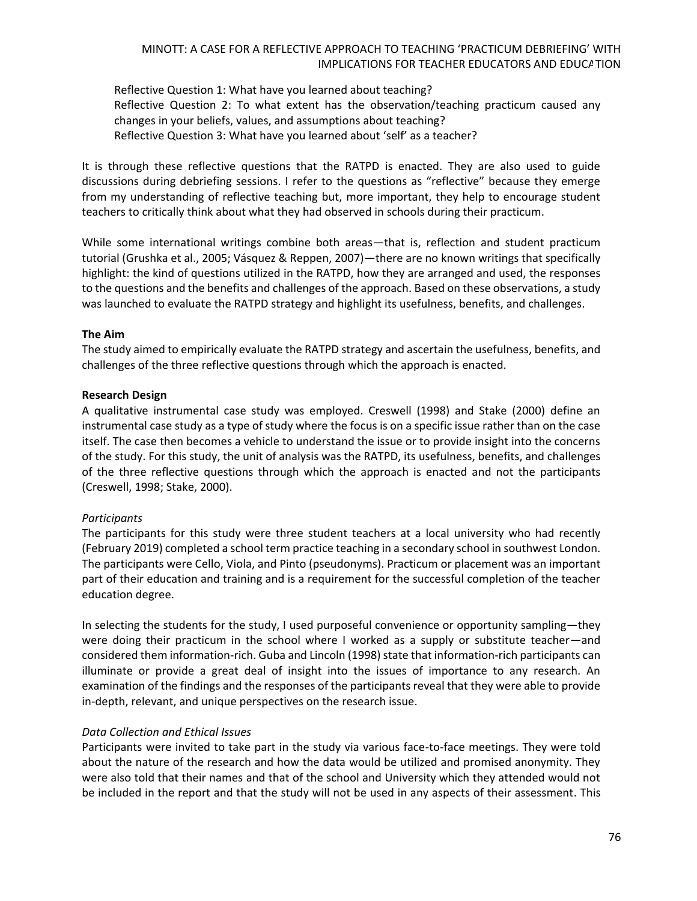Reflective Question 1: What have you learned about teaching? Reflective Question 2: To what extent has the observation/teaching practicum caused any changes in your beliefs, values, and assumptions about teaching? Reflective Question 3: What have you learned about 'self' as a teacher?

It is through these reflective questions that the RATPD is enacted. They are also used to guide discussions during debriefing sessions. I refer to the questions as "reflective" because they emerge from my understanding of reflective teaching but, more important, they help to encourage student teachers to critically think about what they had observed in schools during their practicum.

While some international writings combine both areas—that is, reflection and student practicum tutorial (Grushka et al., 2005; Vásquez & Reppen, 2007)—there are no known writings that specifically highlight: the kind of questions utilized in the RATPD, how they are arranged and used, the responses to the questions and the benefits and challenges of the approach. Based on these observations, a study was launched to evaluate the RATPD strategy and highlight its usefulness, benefits, and challenges.

### **The Aim**

The study aimed to empirically evaluate the RATPD strategy and ascertain the usefulness, benefits, and challenges of the three reflective questions through which the approach is enacted.

#### **Research Design**

A qualitative instrumental case study was employed. Creswell (1998) and Stake (2000) define an instrumental case study as a type of study where the focus is on a specific issue rather than on the case itself. The case then becomes a vehicle to understand the issue or to provide insight into the concerns of the study. For this study, the unit of analysis was the RATPD, its usefulness, benefits, and challenges of the three reflective questions through which the approach is enacted and not the participants (Creswell, 1998; Stake, 2000).

### *Participants*

The participants for this study were three student teachers at a local university who had recently (February 2019) completed a school term practice teaching in a secondary school in southwest London. The participants were Cello, Viola, and Pinto (pseudonyms). Practicum or placement was an important part of their education and training and is a requirement for the successful completion of the teacher education degree.

In selecting the students for the study, I used purposeful convenience or opportunity sampling—they were doing their practicum in the school where I worked as a supply or substitute teacher—and considered them information-rich. Guba and Lincoln (1998) state that information-rich participants can illuminate or provide a great deal of insight into the issues of importance to any research. An examination of the findings and the responses of the participants reveal that they were able to provide in-depth, relevant, and unique perspectives on the research issue.

### *Data Collection and Ethical Issues*

Participants were invited to take part in the study via various face-to-face meetings. They were told about the nature of the research and how the data would be utilized and promised anonymity. They were also told that their names and that of the school and University which they attended would not be included in the report and that the study will not be used in any aspects of their assessment. This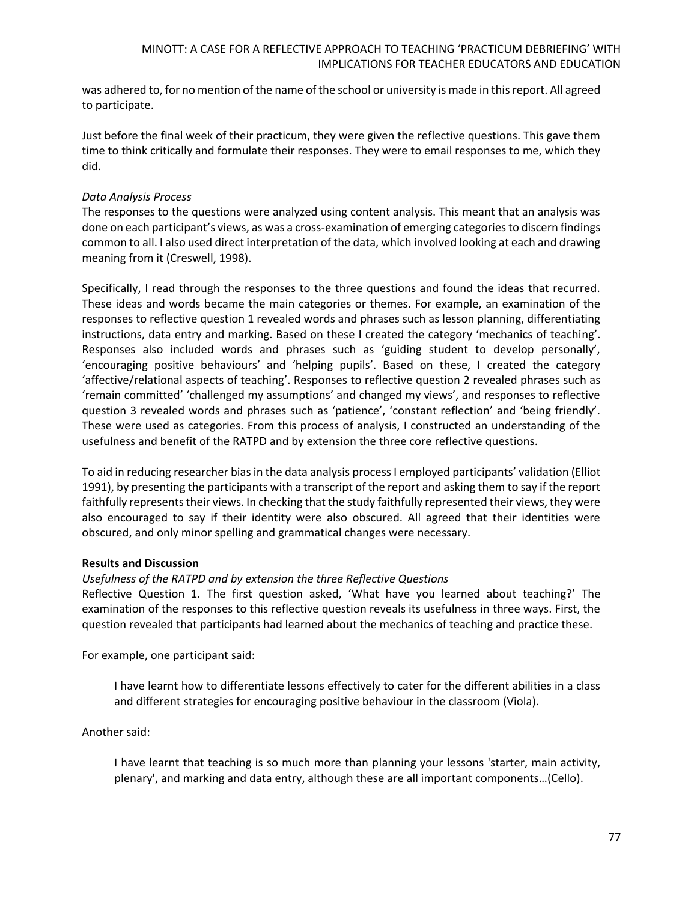was adhered to, for no mention of the name of the school or university is made in this report. All agreed to participate.

Just before the final week of their practicum, they were given the reflective questions. This gave them time to think critically and formulate their responses. They were to email responses to me, which they did.

### *Data Analysis Process*

The responses to the questions were analyzed using content analysis. This meant that an analysis was done on each participant's views, as was a cross-examination of emerging categories to discern findings common to all. I also used direct interpretation of the data, which involved looking at each and drawing meaning from it (Creswell, 1998).

Specifically, I read through the responses to the three questions and found the ideas that recurred. These ideas and words became the main categories or themes. For example, an examination of the responses to reflective question 1 revealed words and phrases such as lesson planning, differentiating instructions, data entry and marking. Based on these I created the category 'mechanics of teaching'. Responses also included words and phrases such as 'guiding student to develop personally', 'encouraging positive behaviours' and 'helping pupils'. Based on these, I created the category 'affective/relational aspects of teaching'. Responses to reflective question 2 revealed phrases such as 'remain committed' 'challenged my assumptions' and changed my views', and responses to reflective question 3 revealed words and phrases such as 'patience', 'constant reflection' and 'being friendly'. These were used as categories. From this process of analysis, I constructed an understanding of the usefulness and benefit of the RATPD and by extension the three core reflective questions.

To aid in reducing researcher bias in the data analysis process I employed participants' validation (Elliot 1991), by presenting the participants with a transcript of the report and asking them to say if the report faithfully represents their views. In checking that the study faithfully represented their views, they were also encouraged to say if their identity were also obscured. All agreed that their identities were obscured, and only minor spelling and grammatical changes were necessary.

### **Results and Discussion**

### *Usefulness of the RATPD and by extension the three Reflective Questions*

Reflective Question 1*.* The first question asked, 'What have you learned about teaching?' The examination of the responses to this reflective question reveals its usefulness in three ways. First, the question revealed that participants had learned about the mechanics of teaching and practice these.

For example, one participant said:

I have learnt how to differentiate lessons effectively to cater for the different abilities in a class and different strategies for encouraging positive behaviour in the classroom (Viola).

Another said:

I have learnt that teaching is so much more than planning your lessons 'starter, main activity, plenary', and marking and data entry, although these are all important components…(Cello).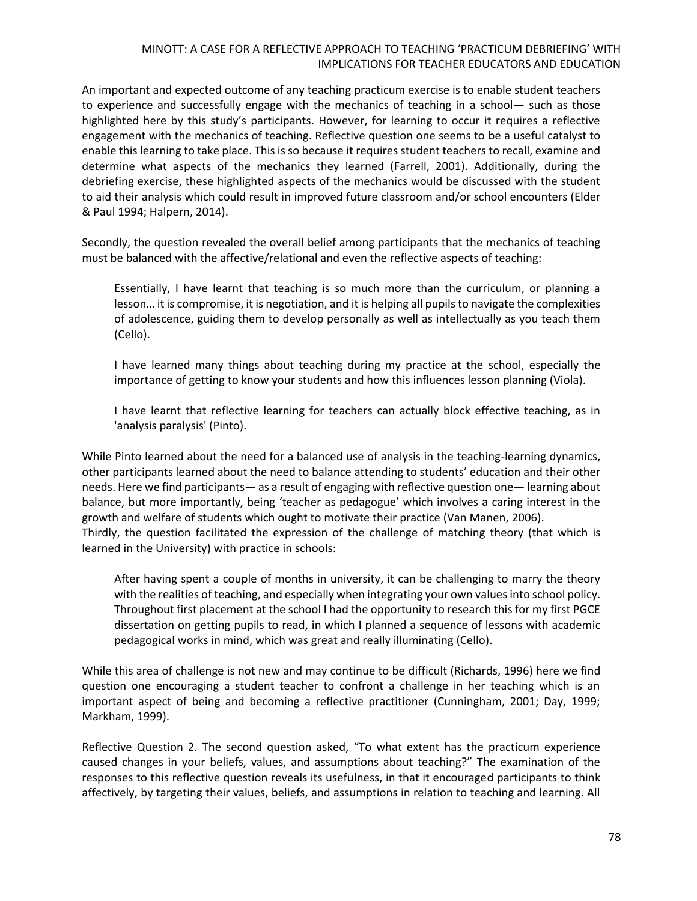An important and expected outcome of any teaching practicum exercise is to enable student teachers to experience and successfully engage with the mechanics of teaching in a school— such as those highlighted here by this study's participants. However, for learning to occur it requires a reflective engagement with the mechanics of teaching. Reflective question one seems to be a useful catalyst to enable this learning to take place. This is so because it requires student teachers to recall, examine and determine what aspects of the mechanics they learned (Farrell, 2001). Additionally, during the debriefing exercise, these highlighted aspects of the mechanics would be discussed with the student to aid their analysis which could result in improved future classroom and/or school encounters (Elder & Paul 1994; Halpern, 2014).

Secondly, the question revealed the overall belief among participants that the mechanics of teaching must be balanced with the affective/relational and even the reflective aspects of teaching:

Essentially, I have learnt that teaching is so much more than the curriculum, or planning a lesson… it is compromise, it is negotiation, and it is helping all pupils to navigate the complexities of adolescence, guiding them to develop personally as well as intellectually as you teach them (Cello).

I have learned many things about teaching during my practice at the school, especially the importance of getting to know your students and how this influences lesson planning (Viola).

I have learnt that reflective learning for teachers can actually block effective teaching, as in 'analysis paralysis' (Pinto).

While Pinto learned about the need for a balanced use of analysis in the teaching-learning dynamics, other participants learned about the need to balance attending to students' education and their other needs. Here we find participants— as a result of engaging with reflective question one— learning about balance, but more importantly, being 'teacher as pedagogue' which involves a caring interest in the growth and welfare of students which ought to motivate their practice (Van Manen, 2006). Thirdly, the question facilitated the expression of the challenge of matching theory (that which is learned in the University) with practice in schools:

After having spent a couple of months in university, it can be challenging to marry the theory with the realities of teaching, and especially when integrating your own values into school policy. Throughout first placement at the school I had the opportunity to research this for my first PGCE dissertation on getting pupils to read, in which I planned a sequence of lessons with academic pedagogical works in mind, which was great and really illuminating (Cello).

While this area of challenge is not new and may continue to be difficult (Richards, 1996) here we find question one encouraging a student teacher to confront a challenge in her teaching which is an important aspect of being and becoming a reflective practitioner (Cunningham, 2001; Day, 1999; Markham, 1999).

Reflective Question 2. The second question asked, "To what extent has the practicum experience caused changes in your beliefs, values, and assumptions about teaching?" The examination of the responses to this reflective question reveals its usefulness, in that it encouraged participants to think affectively, by targeting their values, beliefs, and assumptions in relation to teaching and learning. All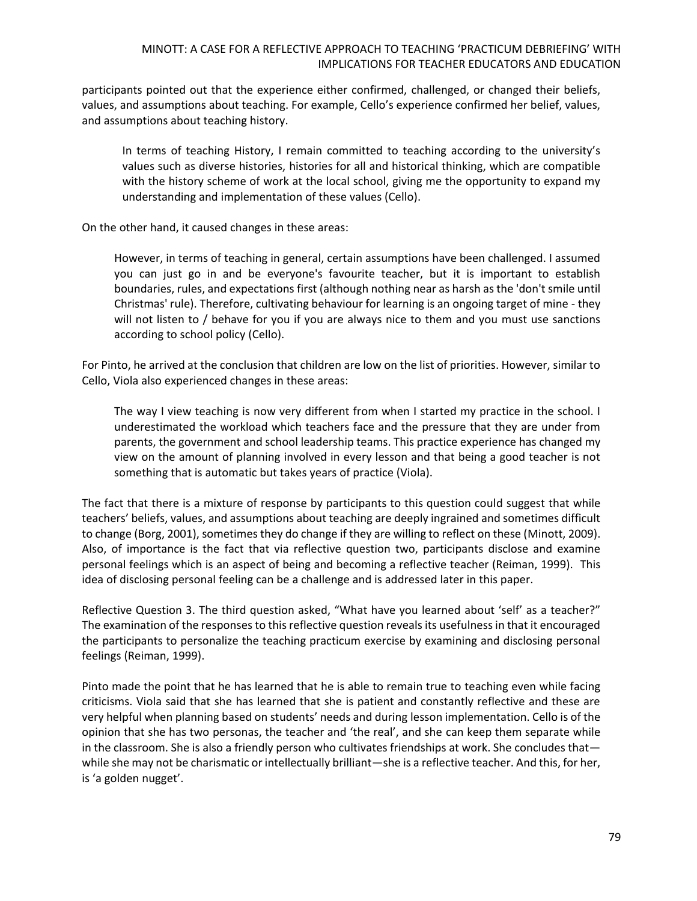participants pointed out that the experience either confirmed, challenged, or changed their beliefs, values, and assumptions about teaching. For example, Cello's experience confirmed her belief, values, and assumptions about teaching history.

In terms of teaching History, I remain committed to teaching according to the university's values such as diverse histories, histories for all and historical thinking, which are compatible with the history scheme of work at the local school, giving me the opportunity to expand my understanding and implementation of these values (Cello).

On the other hand, it caused changes in these areas:

However, in terms of teaching in general, certain assumptions have been challenged. I assumed you can just go in and be everyone's favourite teacher, but it is important to establish boundaries, rules, and expectations first (although nothing near as harsh as the 'don't smile until Christmas' rule). Therefore, cultivating behaviour for learning is an ongoing target of mine - they will not listen to / behave for you if you are always nice to them and you must use sanctions according to school policy (Cello).

For Pinto, he arrived at the conclusion that children are low on the list of priorities. However, similar to Cello, Viola also experienced changes in these areas:

The way I view teaching is now very different from when I started my practice in the school. I underestimated the workload which teachers face and the pressure that they are under from parents, the government and school leadership teams. This practice experience has changed my view on the amount of planning involved in every lesson and that being a good teacher is not something that is automatic but takes years of practice (Viola).

The fact that there is a mixture of response by participants to this question could suggest that while teachers' beliefs, values, and assumptions about teaching are deeply ingrained and sometimes difficult to change (Borg, 2001), sometimes they do change if they are willing to reflect on these (Minott, 2009). Also, of importance is the fact that via reflective question two, participants disclose and examine personal feelings which is an aspect of being and becoming a reflective teacher (Reiman, 1999). This idea of disclosing personal feeling can be a challenge and is addressed later in this paper.

Reflective Question 3. The third question asked, "What have you learned about 'self' as a teacher?" The examination of the responses to this reflective question reveals its usefulness in that it encouraged the participants to personalize the teaching practicum exercise by examining and disclosing personal feelings (Reiman, 1999).

Pinto made the point that he has learned that he is able to remain true to teaching even while facing criticisms. Viola said that she has learned that she is patient and constantly reflective and these are very helpful when planning based on students' needs and during lesson implementation. Cello is of the opinion that she has two personas, the teacher and 'the real', and she can keep them separate while in the classroom. She is also a friendly person who cultivates friendships at work. She concludes that while she may not be charismatic or intellectually brilliant—she is a reflective teacher. And this, for her, is 'a golden nugget'.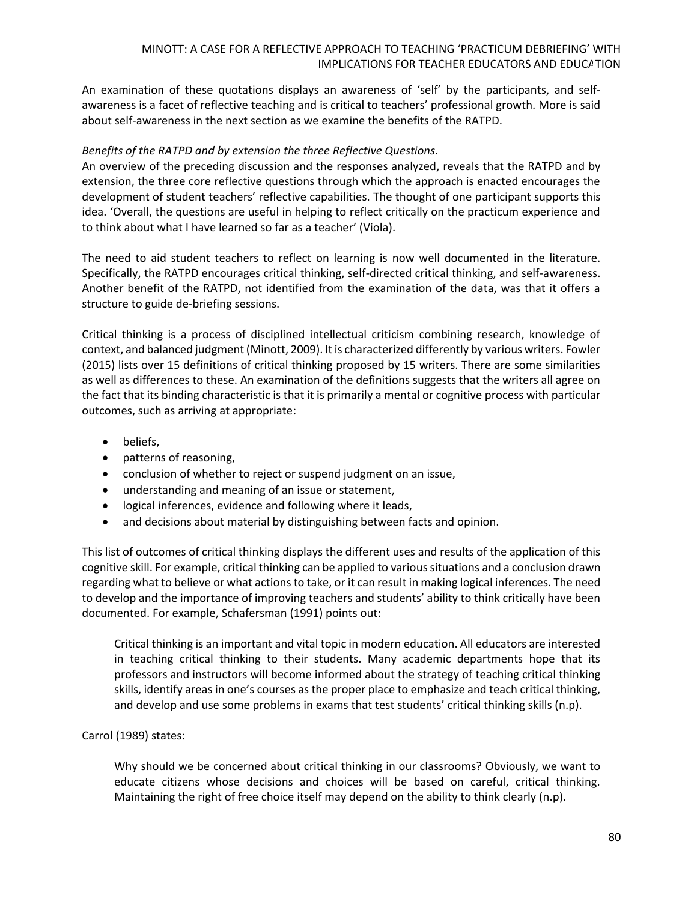An examination of these quotations displays an awareness of 'self' by the participants, and selfawareness is a facet of reflective teaching and is critical to teachers' professional growth. More is said about self-awareness in the next section as we examine the benefits of the RATPD.

### *Benefits of the RATPD and by extension the three Reflective Questions.*

An overview of the preceding discussion and the responses analyzed, reveals that the RATPD and by extension, the three core reflective questions through which the approach is enacted encourages the development of student teachers' reflective capabilities. The thought of one participant supports this idea. 'Overall, the questions are useful in helping to reflect critically on the practicum experience and to think about what I have learned so far as a teacher' (Viola).

The need to aid student teachers to reflect on learning is now well documented in the literature. Specifically, the RATPD encourages critical thinking, self-directed critical thinking, and self-awareness. Another benefit of the RATPD, not identified from the examination of the data, was that it offers a structure to guide de-briefing sessions.

Critical thinking is a process of disciplined intellectual criticism combining research, knowledge of context, and balanced judgment (Minott, 2009). It is characterized differently by various writers. Fowler (2015) lists over 15 definitions of critical thinking proposed by 15 writers. There are some similarities as well as differences to these. An examination of the definitions suggests that the writers all agree on the fact that its binding characteristic is that it is primarily a mental or cognitive process with particular outcomes, such as arriving at appropriate:

- beliefs,
- patterns of reasoning,
- conclusion of whether to reject or suspend judgment on an issue,
- understanding and meaning of an issue or statement,
- logical inferences, evidence and following where it leads,
- and decisions about material by distinguishing between facts and opinion.

This list of outcomes of critical thinking displays the different uses and results of the application of this cognitive skill. For example, critical thinking can be applied to various situations and a conclusion drawn regarding what to believe or what actions to take, or it can result in making logical inferences. The need to develop and the importance of improving teachers and students' ability to think critically have been documented. For example, Schafersman (1991) points out:

Critical thinking is an important and vital topic in modern education. All educators are interested in teaching critical thinking to their students. Many academic departments hope that its professors and instructors will become informed about the strategy of teaching critical thinking skills, identify areas in one's courses as the proper place to emphasize and teach critical thinking, and develop and use some problems in exams that test students' critical thinking skills (n.p).

### Carrol (1989) states:

Why should we be concerned about critical thinking in our classrooms? Obviously, we want to educate citizens whose decisions and choices will be based on careful, critical thinking. Maintaining the right of free choice itself may depend on the ability to think clearly (n.p).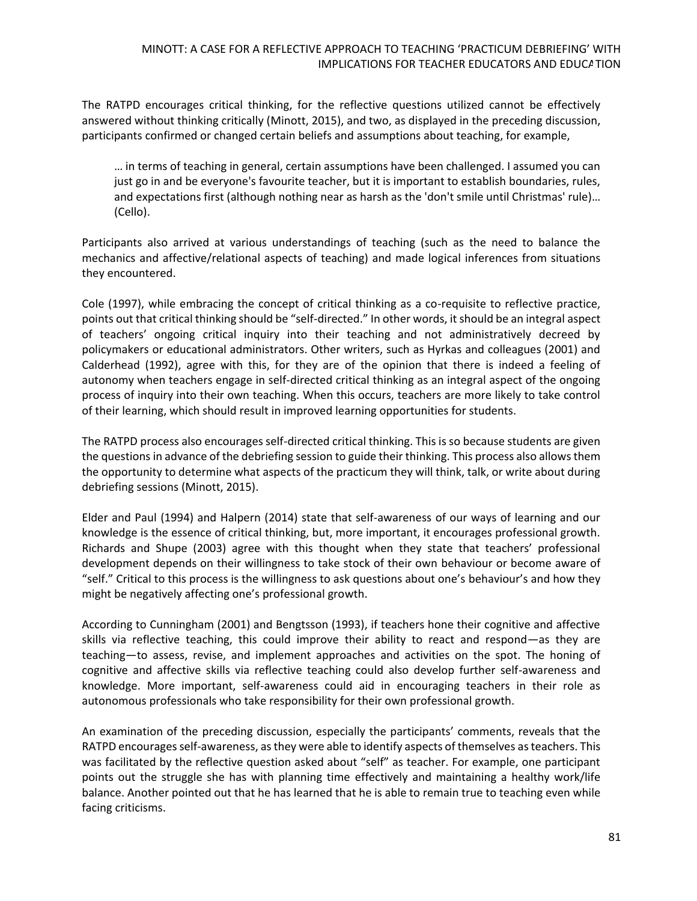The RATPD encourages critical thinking, for the reflective questions utilized cannot be effectively answered without thinking critically (Minott, 2015), and two, as displayed in the preceding discussion, participants confirmed or changed certain beliefs and assumptions about teaching, for example,

… in terms of teaching in general, certain assumptions have been challenged. I assumed you can just go in and be everyone's favourite teacher, but it is important to establish boundaries, rules, and expectations first (although nothing near as harsh as the 'don't smile until Christmas' rule)… (Cello).

Participants also arrived at various understandings of teaching (such as the need to balance the mechanics and affective/relational aspects of teaching) and made logical inferences from situations they encountered.

Cole (1997), while embracing the concept of critical thinking as a co-requisite to reflective practice, points out that critical thinking should be "self-directed." In other words, it should be an integral aspect of teachers' ongoing critical inquiry into their teaching and not administratively decreed by policymakers or educational administrators. Other writers, such as Hyrkas and colleagues (2001) and Calderhead (1992), agree with this, for they are of the opinion that there is indeed a feeling of autonomy when teachers engage in self-directed critical thinking as an integral aspect of the ongoing process of inquiry into their own teaching. When this occurs, teachers are more likely to take control of their learning, which should result in improved learning opportunities for students.

The RATPD process also encourages self-directed critical thinking. This is so because students are given the questions in advance of the debriefing session to guide their thinking. This process also allows them the opportunity to determine what aspects of the practicum they will think, talk, or write about during debriefing sessions (Minott, 2015).

Elder and Paul (1994) and Halpern (2014) state that self-awareness of our ways of learning and our knowledge is the essence of critical thinking, but, more important, it encourages professional growth. Richards and Shupe (2003) agree with this thought when they state that teachers' professional development depends on their willingness to take stock of their own behaviour or become aware of "self." Critical to this process is the willingness to ask questions about one's behaviour's and how they might be negatively affecting one's professional growth.

According to Cunningham (2001) and Bengtsson (1993), if teachers hone their cognitive and affective skills via reflective teaching, this could improve their ability to react and respond—as they are teaching—to assess, revise, and implement approaches and activities on the spot. The honing of cognitive and affective skills via reflective teaching could also develop further self-awareness and knowledge. More important, self-awareness could aid in encouraging teachers in their role as autonomous professionals who take responsibility for their own professional growth.

An examination of the preceding discussion, especially the participants' comments, reveals that the RATPD encourages self-awareness, as they were able to identify aspects of themselves as teachers. This was facilitated by the reflective question asked about "self" as teacher. For example, one participant points out the struggle she has with planning time effectively and maintaining a healthy work/life balance. Another pointed out that he has learned that he is able to remain true to teaching even while facing criticisms.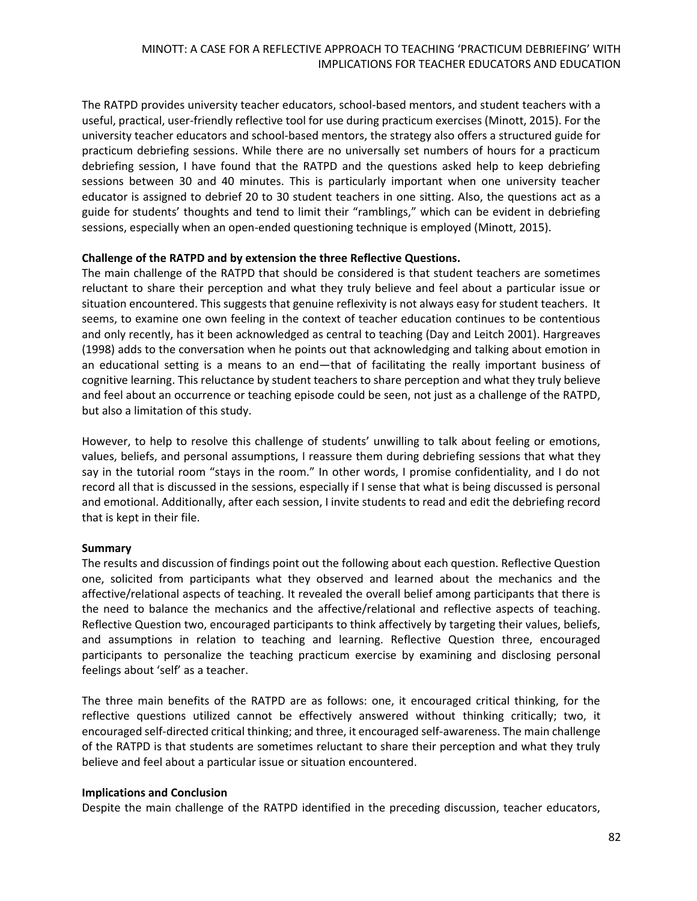The RATPD provides university teacher educators, school-based mentors, and student teachers with a useful, practical, user-friendly reflective tool for use during practicum exercises (Minott, 2015). For the university teacher educators and school-based mentors, the strategy also offers a structured guide for practicum debriefing sessions. While there are no universally set numbers of hours for a practicum debriefing session, I have found that the RATPD and the questions asked help to keep debriefing sessions between 30 and 40 minutes. This is particularly important when one university teacher educator is assigned to debrief 20 to 30 student teachers in one sitting. Also, the questions act as a guide for students' thoughts and tend to limit their "ramblings," which can be evident in debriefing sessions, especially when an open-ended questioning technique is employed (Minott, 2015).

#### **Challenge of the RATPD and by extension the three Reflective Questions.**

The main challenge of the RATPD that should be considered is that student teachers are sometimes reluctant to share their perception and what they truly believe and feel about a particular issue or situation encountered. This suggests that genuine reflexivity is not always easy for student teachers. It seems, to examine one own feeling in the context of teacher education continues to be contentious and only recently, has it been acknowledged as central to teaching (Day and Leitch 2001). Hargreaves (1998) adds to the conversation when he points out that acknowledging and talking about emotion in an educational setting is a means to an end—that of facilitating the really important business of cognitive learning. This reluctance by student teachers to share perception and what they truly believe and feel about an occurrence or teaching episode could be seen, not just as a challenge of the RATPD, but also a limitation of this study.

However, to help to resolve this challenge of students' unwilling to talk about feeling or emotions, values, beliefs, and personal assumptions, I reassure them during debriefing sessions that what they say in the tutorial room "stays in the room." In other words, I promise confidentiality, and I do not record all that is discussed in the sessions, especially if I sense that what is being discussed is personal and emotional. Additionally, after each session, I invite students to read and edit the debriefing record that is kept in their file.

### **Summary**

The results and discussion of findings point out the following about each question. Reflective Question one, solicited from participants what they observed and learned about the mechanics and the affective/relational aspects of teaching. It revealed the overall belief among participants that there is the need to balance the mechanics and the affective/relational and reflective aspects of teaching. Reflective Question two, encouraged participants to think affectively by targeting their values, beliefs, and assumptions in relation to teaching and learning. Reflective Question three, encouraged participants to personalize the teaching practicum exercise by examining and disclosing personal feelings about 'self' as a teacher.

The three main benefits of the RATPD are as follows: one, it encouraged critical thinking, for the reflective questions utilized cannot be effectively answered without thinking critically; two, it encouraged self-directed critical thinking; and three, it encouraged self-awareness. The main challenge of the RATPD is that students are sometimes reluctant to share their perception and what they truly believe and feel about a particular issue or situation encountered.

#### **Implications and Conclusion**

Despite the main challenge of the RATPD identified in the preceding discussion, teacher educators,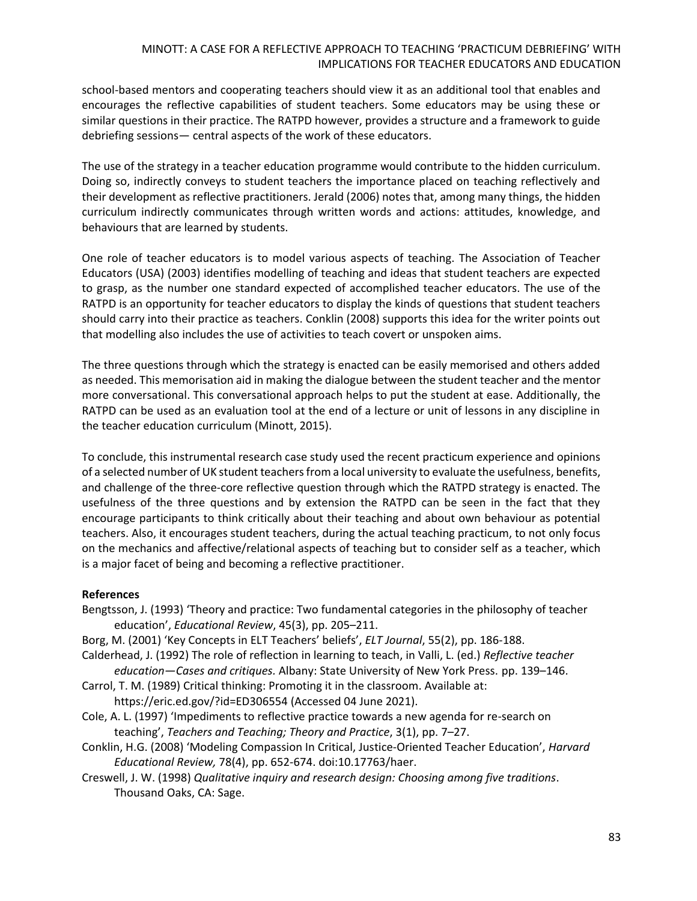school-based mentors and cooperating teachers should view it as an additional tool that enables and encourages the reflective capabilities of student teachers. Some educators may be using these or similar questions in their practice. The RATPD however, provides a structure and a framework to guide debriefing sessions— central aspects of the work of these educators.

The use of the strategy in a teacher education programme would contribute to the hidden curriculum. Doing so, indirectly conveys to student teachers the importance placed on teaching reflectively and their development as reflective practitioners. Jerald (2006) notes that, among many things, the hidden curriculum indirectly communicates through written words and actions: attitudes, knowledge, and behaviours that are learned by students.

One role of teacher educators is to model various aspects of teaching. The Association of Teacher Educators (USA) (2003) identifies modelling of teaching and ideas that student teachers are expected to grasp, as the number one standard expected of accomplished teacher educators. The use of the RATPD is an opportunity for teacher educators to display the kinds of questions that student teachers should carry into their practice as teachers. Conklin (2008) supports this idea for the writer points out that modelling also includes the use of activities to teach covert or unspoken aims.

The three questions through which the strategy is enacted can be easily memorised and others added as needed. This memorisation aid in making the dialogue between the student teacher and the mentor more conversational. This conversational approach helps to put the student at ease. Additionally, the RATPD can be used as an evaluation tool at the end of a lecture or unit of lessons in any discipline in the teacher education curriculum (Minott, 2015).

To conclude, this instrumental research case study used the recent practicum experience and opinions of a selected number of UK student teachers from a local university to evaluate the usefulness, benefits, and challenge of the three-core reflective question through which the RATPD strategy is enacted. The usefulness of the three questions and by extension the RATPD can be seen in the fact that they encourage participants to think critically about their teaching and about own behaviour as potential teachers. Also, it encourages student teachers, during the actual teaching practicum, to not only focus on the mechanics and affective/relational aspects of teaching but to consider self as a teacher, which is a major facet of being and becoming a reflective practitioner.

#### **References**

- Bengtsson, J. (1993) 'Theory and practice: Two fundamental categories in the philosophy of teacher education', *Educational Review*, 45(3), pp. 205–211.
- Borg, M. (2001) 'Key Concepts in ELT Teachers' beliefs', *ELT Journal*, 55(2), pp. 186-188.
- Calderhead, J. (1992) The role of reflection in learning to teach, in Valli, L. (ed.) *Reflective teacher education—Cases and critiques.* Albany: State University of New York Press. pp. 139–146.
- Carrol, T. M. (1989) Critical thinking: Promoting it in the classroom. Available at: <https://eric.ed.gov/?id=ED306554> (Accessed 04 June 2021).
- Cole, A. L. (1997) 'Impediments to reflective practice towards a new agenda for re-search on teaching', *Teachers and Teaching; Theory and Practice*, 3(1), pp. 7–27.
- Conklin, H.G. (2008) 'Modeling Compassion In Critical, Justice-Oriented Teacher Education', *Harvard Educational Review,* 78(4), pp. 652-674. doi:10.17763/haer.
- Creswell, J. W. (1998) *Qualitative inquiry and research design: Choosing among five traditions*. Thousand Oaks, CA: Sage.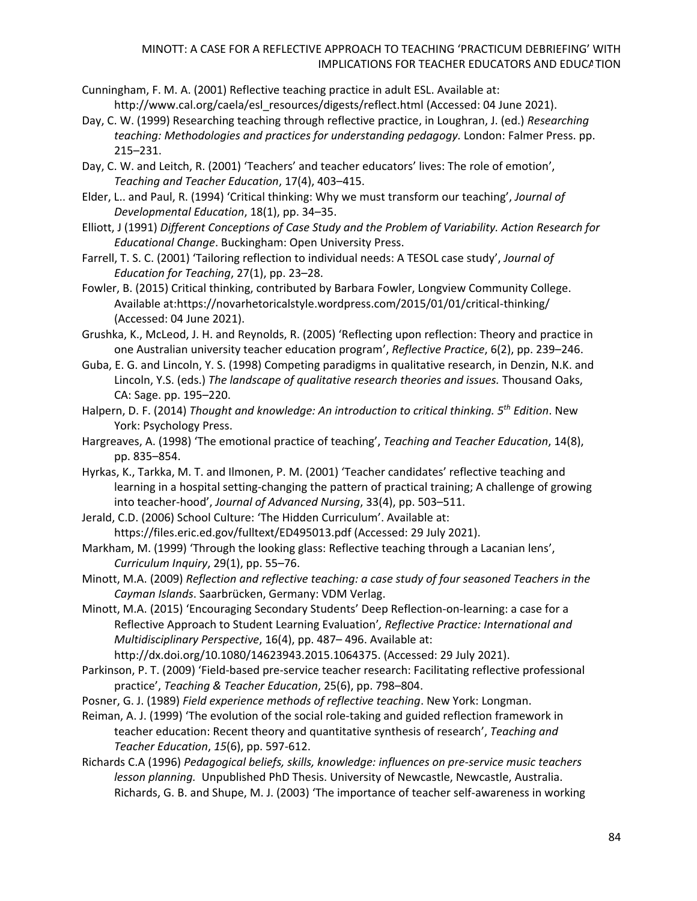- Cunningham, F. M. A. (2001) Reflective teaching practice in adult ESL. Available at: [http://www.cal.org/caela/esl\\_resources/digests/reflect.html](http://www.cal.org/caela/esl_resources/digests/reflect.html) (Accessed: 04 June 2021).
- Day, C. W. (1999) Researching teaching through reflective practice, in Loughran, J. (ed.) *Researching teaching: Methodologies and practices for understanding pedagogy.* London: Falmer Press. pp. 215–231.
- Day, C. W. and Leitch, R. (2001) 'Teachers' and teacher educators' lives: The role of emotion', *Teaching and Teacher Education*, 17(4), 403–415.
- Elder, L.. and Paul, R. (1994) 'Critical thinking: Why we must transform our teaching', *Journal of Developmental Education*, 18(1), pp. 34–35.
- Elliott, J (1991) *Different Conceptions of Case Study and the Problem of Variability. Action Research for Educational Change*. Buckingham: Open University Press.
- Farrell, T. S. C. (2001) 'Tailoring reflection to individual needs: A TESOL case study', *Journal of Education for Teaching*, 27(1), pp. 23–28.
- Fowler, B. (2015) Critical thinking, contributed by Barbara Fowler, Longview Community College. Available at[:https://novarhetoricalstyle.wordpress.com/2015/01/01/critical-thinking/](https://novarhetoricalstyle.wordpress.com/2015/01/01/critical-thinking/) (Accessed: 04 June 2021).
- Grushka, K., McLeod, J. H. and Reynolds, R. (2005) 'Reflecting upon reflection: Theory and practice in one Australian university teacher education program', *Reflective Practice*, 6(2), pp. 239–246.
- Guba, E. G. and Lincoln, Y. S. (1998) Competing paradigms in qualitative research, in Denzin, N.K. and Lincoln, Y.S. (eds.) *The landscape of qualitative research theories and issues.* Thousand Oaks, CA: Sage. pp. 195–220.
- Halpern, D. F. (2014) *Thought and knowledge: An introduction to critical thinking. 5 th Edition*. New York: Psychology Press.
- Hargreaves, A. (1998) 'The emotional practice of teaching', *Teaching and Teacher Education*, 14(8), pp. 835–854.
- Hyrkas, K., Tarkka, M. T. and Ilmonen, P. M. (2001) 'Teacher candidates' reflective teaching and learning in a hospital setting-changing the pattern of practical training; A challenge of growing into teacher-hood', *Journal of Advanced Nursing*, 33(4), pp. 503–511.
- Jerald, C.D. (2006) School Culture: 'The Hidden Curriculum'. Available at: <https://files.eric.ed.gov/fulltext/ED495013.pdf> (Accessed: 29 July 2021).
- Markham, M. (1999) 'Through the looking glass: Reflective teaching through a Lacanian lens', *Curriculum Inquiry*, 29(1), pp. 55–76.
- Minott, M.A. (2009) *Reflection and reflective teaching: a case study of four seasoned Teachers in the Cayman Islands*. Saarbrücken, Germany: VDM Verlag.
- Minott, M.A. (2015) 'Encouraging Secondary Students' Deep Reflection-on-learning: a case for a Reflective Approach to Student Learning Evaluation'*, Reflective Practice: International and Multidisciplinary Perspective*, 16(4), pp. 487– 496. Available at:

[http://dx.doi.org/10.1080/14623943.2015.1064375.](http://dx.doi.org/10.1080/14623943.2015.1064375) (Accessed: 29 July 2021).

- Parkinson, P. T. (2009) 'Field-based pre-service teacher research: Facilitating reflective professional practice', *Teaching & Teacher Education*, 25(6), pp. 798–804.
- Posner, G. J. (1989) *Field experience methods of reflective teaching*. New York: Longman.
- Reiman, A. J. (1999) 'The evolution of the social role-taking and guided reflection framework in teacher education: Recent theory and quantitative synthesis of research', *Teaching and Teacher Education*, *15*(6), pp. 597-612.
- Richards C.A (1996) *Pedagogical beliefs, skills, knowledge: influences on pre-service music teachers lesson planning.* Unpublished PhD Thesis. University of Newcastle, Newcastle, Australia. Richards, G. B. and Shupe, M. J. (2003) 'The importance of teacher self-awareness in working